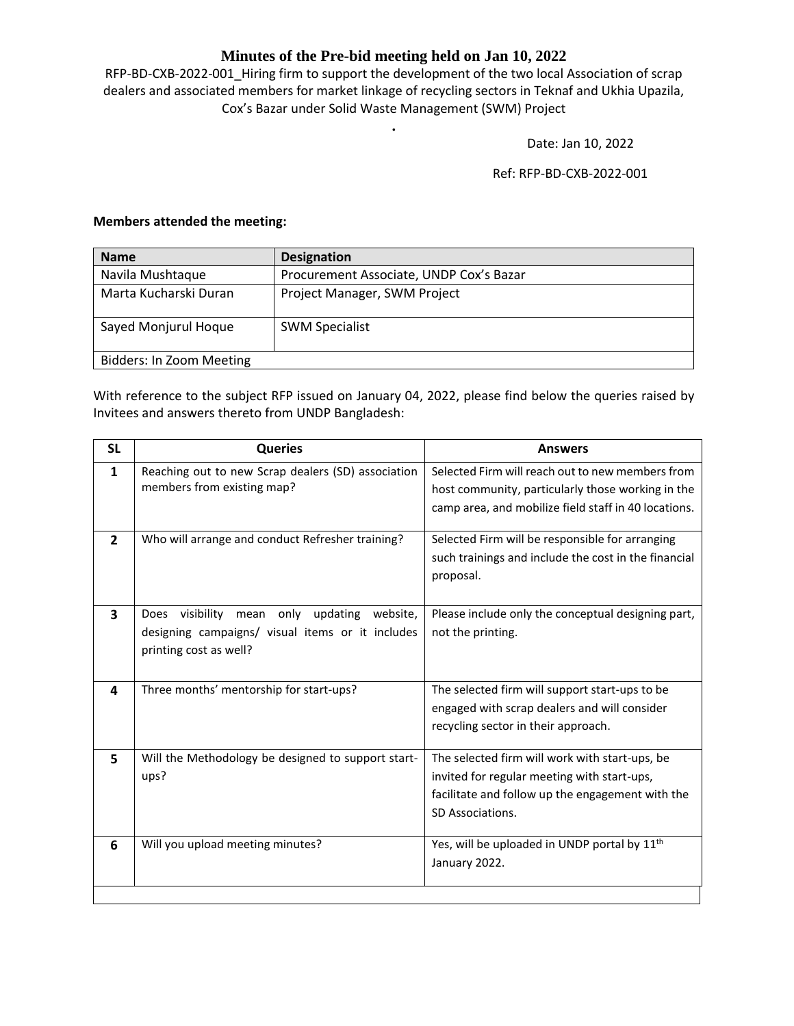## **Minutes of the Pre-bid meeting held on Jan 10, 2022**

RFP-BD-CXB-2022-001 Hiring firm to support the development of the two local Association of scrap dealers and associated members for market linkage of recycling sectors in Teknaf and Ukhia Upazila, Cox's Bazar under Solid Waste Management (SWM) Project

**.**

Date: Jan 10, 2022

Ref: RFP-BD-CXB-2022-001

## **Members attended the meeting:**

| <b>Name</b>              | <b>Designation</b>                      |  |
|--------------------------|-----------------------------------------|--|
| Navila Mushtaque         | Procurement Associate, UNDP Cox's Bazar |  |
| Marta Kucharski Duran    | Project Manager, SWM Project            |  |
| Sayed Monjurul Hoque     | <b>SWM Specialist</b>                   |  |
| Bidders: In Zoom Meeting |                                         |  |

With reference to the subject RFP issued on January 04, 2022, please find below the queries raised by Invitees and answers thereto from UNDP Bangladesh:

| <b>SL</b>      | <b>Queries</b>                                                                                                                           | <b>Answers</b>                                                                                                                                                        |
|----------------|------------------------------------------------------------------------------------------------------------------------------------------|-----------------------------------------------------------------------------------------------------------------------------------------------------------------------|
| 1              | Reaching out to new Scrap dealers (SD) association<br>members from existing map?                                                         | Selected Firm will reach out to new members from<br>host community, particularly those working in the<br>camp area, and mobilize field staff in 40 locations.         |
| $\overline{2}$ | Who will arrange and conduct Refresher training?                                                                                         | Selected Firm will be responsible for arranging<br>such trainings and include the cost in the financial<br>proposal.                                                  |
| 3              | visibility<br>updating<br>Does<br>only<br>website.<br>mean<br>designing campaigns/ visual items or it includes<br>printing cost as well? | Please include only the conceptual designing part,<br>not the printing.                                                                                               |
| 4              | Three months' mentorship for start-ups?                                                                                                  | The selected firm will support start-ups to be<br>engaged with scrap dealers and will consider<br>recycling sector in their approach.                                 |
| 5              | Will the Methodology be designed to support start-<br>ups?                                                                               | The selected firm will work with start-ups, be<br>invited for regular meeting with start-ups,<br>facilitate and follow up the engagement with the<br>SD Associations. |
| 6              | Will you upload meeting minutes?                                                                                                         | Yes, will be uploaded in UNDP portal by 11 <sup>th</sup><br>January 2022.                                                                                             |
|                |                                                                                                                                          |                                                                                                                                                                       |